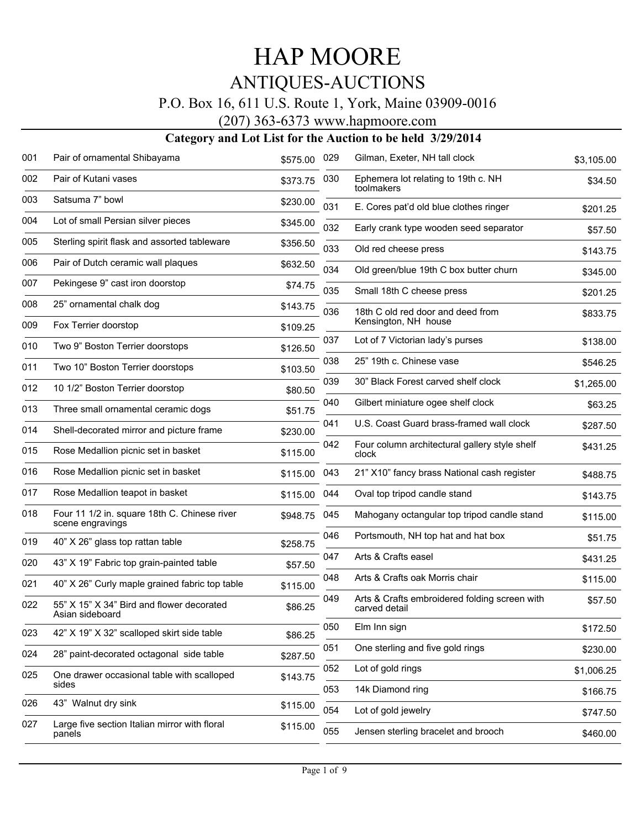#### P.O. Box 16, 611 U.S. Route 1, York, Maine 03909-0016

(207) 363-6373 www.hapmoore.com

| Pair of ornamental Shibayama                                     | \$575.00                                                                      | 029                  | Gilman, Exeter, NH tall clock                                  | \$3,105.00                                                                  |
|------------------------------------------------------------------|-------------------------------------------------------------------------------|----------------------|----------------------------------------------------------------|-----------------------------------------------------------------------------|
| Pair of Kutani vases                                             | \$373.75                                                                      | 030                  | Ephemera lot relating to 19th c. NH<br>toolmakers              | \$34.50                                                                     |
| Satsuma 7" bowl                                                  | \$230.00                                                                      | 031                  | E. Cores pat'd old blue clothes ringer                         | \$201.25                                                                    |
| Lot of small Persian silver pieces                               | \$345.00                                                                      | 032                  | Early crank type wooden seed separator                         | \$57.50                                                                     |
| Sterling spirit flask and assorted tableware                     | \$356.50                                                                      | 033                  | Old red cheese press                                           | \$143.75                                                                    |
| Pair of Dutch ceramic wall plaques                               | \$632.50                                                                      | 034                  |                                                                | \$345.00                                                                    |
| Pekingese 9" cast iron doorstop                                  | \$74.75                                                                       | 035                  | Small 18th C cheese press                                      | \$201.25                                                                    |
| 25" ornamental chalk dog                                         | \$143.75                                                                      |                      |                                                                | \$833.75                                                                    |
| Fox Terrier doorstop                                             | \$109.25                                                                      |                      | Kensington, NH house                                           |                                                                             |
| Two 9" Boston Terrier doorstops                                  | \$126.50                                                                      |                      | Lot of 7 Victorian lady's purses                               | \$138.00                                                                    |
| Two 10" Boston Terrier doorstops                                 | \$103.50                                                                      | 038                  | 25" 19th c. Chinese vase                                       | \$546.25                                                                    |
| 10 1/2" Boston Terrier doorstop                                  | \$80.50                                                                       | 039                  | 30" Black Forest carved shelf clock                            | \$1,265.00                                                                  |
| Three small ornamental ceramic dogs                              | \$51.75                                                                       | 040                  | Gilbert miniature ogee shelf clock                             | \$63.25                                                                     |
| Shell-decorated mirror and picture frame                         | \$230.00                                                                      | 041                  | U.S. Coast Guard brass-framed wall clock                       | \$287.50                                                                    |
| Rose Medallion picnic set in basket                              | \$115.00                                                                      | 042                  | Four column architectural gallery style shelf<br>clock         | \$431.25                                                                    |
| Rose Medallion picnic set in basket                              | \$115.00                                                                      | 043                  | 21" X10" fancy brass National cash register                    | \$488.75                                                                    |
| Rose Medallion teapot in basket                                  | \$115.00                                                                      | 044                  | Oval top tripod candle stand                                   | \$143.75                                                                    |
| Four 11 1/2 in. square 18th C. Chinese river<br>scene engravings | \$948.75                                                                      | 045                  | Mahogany octangular top tripod candle stand                    | \$115.00                                                                    |
| 40" X 26" glass top rattan table                                 | \$258.75                                                                      | 046                  | Portsmouth, NH top hat and hat box                             | \$51.75                                                                     |
| 43" X 19" Fabric top grain-painted table                         | \$57.50                                                                       | 047                  | Arts & Crafts easel                                            | \$431.25                                                                    |
| 40" X 26" Curly maple grained fabric top table                   | \$115.00                                                                      | 048                  | Arts & Crafts oak Morris chair                                 | \$115.00                                                                    |
| 55" X 15" X 34" Bird and flower decorated<br>Asian sideboard     | \$86.25                                                                       | 049                  | Arts & Crafts embroidered folding screen with<br>carved detail | \$57.50                                                                     |
| 42" X 19" X 32" scalloped skirt side table                       | \$86.25                                                                       | 050                  | Elm Inn sign                                                   | \$172.50                                                                    |
| 28" paint-decorated octagonal side table                         | \$287.50                                                                      | 051                  | One sterling and five gold rings                               | \$230.00                                                                    |
| One drawer occasional table with scalloped                       | \$143.75                                                                      | 052                  | Lot of gold rings                                              | \$1,006.25                                                                  |
|                                                                  |                                                                               | 053                  | 14k Diamond ring                                               | \$166.75                                                                    |
|                                                                  |                                                                               | 054                  | Lot of gold jewelry                                            | \$747.50                                                                    |
| panels                                                           |                                                                               | 055                  | Jensen sterling bracelet and brooch                            | \$460.00                                                                    |
|                                                                  | sides<br>43" Walnut dry sink<br>Large five section Italian mirror with floral | \$115.00<br>\$115.00 | 036<br>037                                                     | Old green/blue 19th C box butter churn<br>18th C old red door and deed from |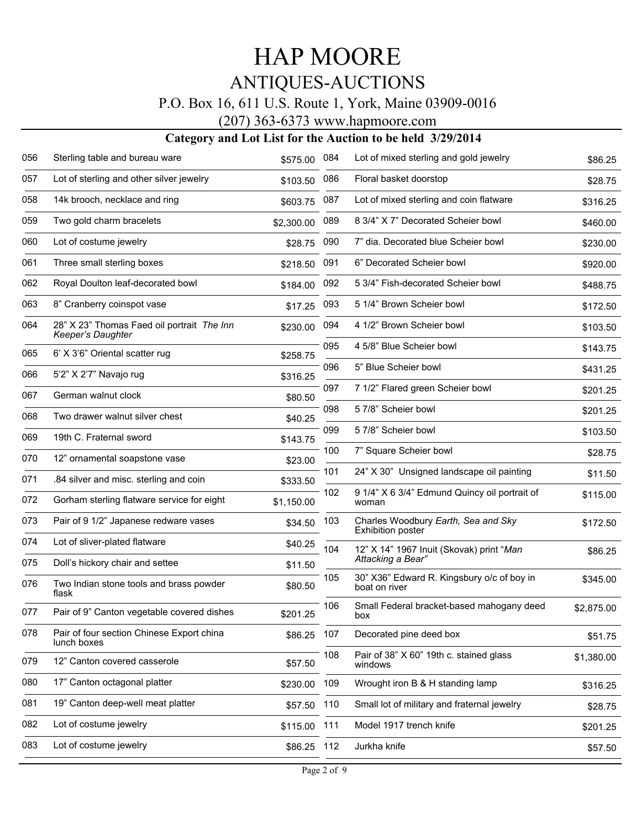#### P.O. Box 16, 611 U.S. Route 1, York, Maine 03909-0016

(207) 363-6373 www.hapmoore.com

| 057<br>Lot of sterling and other silver jewelry<br>086<br>Floral basket doorstop<br>\$103.50<br>14k brooch, necklace and ring<br>Lot of mixed sterling and coin flatware<br>058<br>087<br>\$603.75<br>059<br>Two gold charm bracelets<br>8 3/4" X 7" Decorated Scheier bowl<br>089<br>\$2,300.00<br>060<br>Lot of costume jewelry<br>090<br>7" dia. Decorated blue Scheier bowl<br>\$28.75<br>Three small sterling boxes<br>061<br>091<br>6" Decorated Scheier bowl<br>\$218.50<br>Royal Doulton leaf-decorated bowl<br>062<br>5 3/4" Fish-decorated Scheier bowl<br>092<br>\$184.00<br>5 1/4" Brown Scheier bowl<br>063<br>8" Cranberry coinspot vase<br>093<br>\$17.25<br>28" X 23" Thomas Faed oil portrait The Inn<br>4 1/2" Brown Scheier bowl<br>064<br>094<br>\$230.00<br>Keeper's Daughter<br>4 5/8" Blue Scheier bowl<br>095<br>065<br>6' X 3'6" Oriental scatter rug<br>\$258.75<br>5" Blue Scheier bowl<br>096<br>5'2" X 2'7" Navajo rug<br>066<br>\$316.25<br>7 1/2" Flared green Scheier bowl<br>097<br>067<br>German walnut clock<br>\$80.50<br>57/8" Scheier bowl<br>098<br>068<br>Two drawer walnut silver chest<br>\$40.25<br>5 7/8" Scheier bowl<br>099<br>069<br>19th C. Fraternal sword<br>\$143.75<br>7" Square Scheier bowl<br>100<br>070<br>12" ornamental soapstone vase<br>\$23.00<br>101<br>24" X 30" Unsigned landscape oil painting<br>071<br>.84 silver and misc. sterling and coin<br>\$333.50<br>102<br>9 1/4" X 6 3/4" Edmund Quincy oil portrait of<br>Gorham sterling flatware service for eight<br>072<br>\$1,150.00<br>woman<br>073<br>Pair of 9 1/2" Japanese redware vases<br>Charles Woodbury Earth, Sea and Sky<br>103<br>\$34.50<br><b>Exhibition poster</b><br>074<br>Lot of sliver-plated flatware<br>\$40.25<br>104<br>12" X 14" 1967 Inuit (Skovak) print "Man<br>Attacking a Bear"<br>075<br>Doll's hickory chair and settee<br>\$11.50<br>105<br>30" X36" Edward R. Kingsbury o/c of boy in<br>Two Indian stone tools and brass powder<br>076<br>\$80.50<br>boat on river<br>flask<br>106<br>Small Federal bracket-based mahogany deed<br>077<br>Pair of 9" Canton vegetable covered dishes<br>\$201.25<br>box<br>078<br>Pair of four section Chinese Export china<br>107<br>Decorated pine deed box<br>\$86.25 | 056 | Sterling table and bureau ware | \$575.00 | 084 | Lot of mixed sterling and gold jewelry | \$86.25    |
|----------------------------------------------------------------------------------------------------------------------------------------------------------------------------------------------------------------------------------------------------------------------------------------------------------------------------------------------------------------------------------------------------------------------------------------------------------------------------------------------------------------------------------------------------------------------------------------------------------------------------------------------------------------------------------------------------------------------------------------------------------------------------------------------------------------------------------------------------------------------------------------------------------------------------------------------------------------------------------------------------------------------------------------------------------------------------------------------------------------------------------------------------------------------------------------------------------------------------------------------------------------------------------------------------------------------------------------------------------------------------------------------------------------------------------------------------------------------------------------------------------------------------------------------------------------------------------------------------------------------------------------------------------------------------------------------------------------------------------------------------------------------------------------------------------------------------------------------------------------------------------------------------------------------------------------------------------------------------------------------------------------------------------------------------------------------------------------------------------------------------------------------------------------------------------------------------------------------------------------------------------------|-----|--------------------------------|----------|-----|----------------------------------------|------------|
|                                                                                                                                                                                                                                                                                                                                                                                                                                                                                                                                                                                                                                                                                                                                                                                                                                                                                                                                                                                                                                                                                                                                                                                                                                                                                                                                                                                                                                                                                                                                                                                                                                                                                                                                                                                                                                                                                                                                                                                                                                                                                                                                                                                                                                                                |     |                                |          |     |                                        | \$28.75    |
|                                                                                                                                                                                                                                                                                                                                                                                                                                                                                                                                                                                                                                                                                                                                                                                                                                                                                                                                                                                                                                                                                                                                                                                                                                                                                                                                                                                                                                                                                                                                                                                                                                                                                                                                                                                                                                                                                                                                                                                                                                                                                                                                                                                                                                                                |     |                                |          |     |                                        | \$316.25   |
|                                                                                                                                                                                                                                                                                                                                                                                                                                                                                                                                                                                                                                                                                                                                                                                                                                                                                                                                                                                                                                                                                                                                                                                                                                                                                                                                                                                                                                                                                                                                                                                                                                                                                                                                                                                                                                                                                                                                                                                                                                                                                                                                                                                                                                                                |     |                                |          |     |                                        | \$460.00   |
|                                                                                                                                                                                                                                                                                                                                                                                                                                                                                                                                                                                                                                                                                                                                                                                                                                                                                                                                                                                                                                                                                                                                                                                                                                                                                                                                                                                                                                                                                                                                                                                                                                                                                                                                                                                                                                                                                                                                                                                                                                                                                                                                                                                                                                                                |     |                                |          |     |                                        | \$230.00   |
|                                                                                                                                                                                                                                                                                                                                                                                                                                                                                                                                                                                                                                                                                                                                                                                                                                                                                                                                                                                                                                                                                                                                                                                                                                                                                                                                                                                                                                                                                                                                                                                                                                                                                                                                                                                                                                                                                                                                                                                                                                                                                                                                                                                                                                                                |     |                                |          |     |                                        | \$920.00   |
|                                                                                                                                                                                                                                                                                                                                                                                                                                                                                                                                                                                                                                                                                                                                                                                                                                                                                                                                                                                                                                                                                                                                                                                                                                                                                                                                                                                                                                                                                                                                                                                                                                                                                                                                                                                                                                                                                                                                                                                                                                                                                                                                                                                                                                                                |     |                                |          |     |                                        | \$488.75   |
|                                                                                                                                                                                                                                                                                                                                                                                                                                                                                                                                                                                                                                                                                                                                                                                                                                                                                                                                                                                                                                                                                                                                                                                                                                                                                                                                                                                                                                                                                                                                                                                                                                                                                                                                                                                                                                                                                                                                                                                                                                                                                                                                                                                                                                                                |     |                                |          |     |                                        | \$172.50   |
|                                                                                                                                                                                                                                                                                                                                                                                                                                                                                                                                                                                                                                                                                                                                                                                                                                                                                                                                                                                                                                                                                                                                                                                                                                                                                                                                                                                                                                                                                                                                                                                                                                                                                                                                                                                                                                                                                                                                                                                                                                                                                                                                                                                                                                                                |     |                                |          |     |                                        | \$103.50   |
|                                                                                                                                                                                                                                                                                                                                                                                                                                                                                                                                                                                                                                                                                                                                                                                                                                                                                                                                                                                                                                                                                                                                                                                                                                                                                                                                                                                                                                                                                                                                                                                                                                                                                                                                                                                                                                                                                                                                                                                                                                                                                                                                                                                                                                                                |     |                                |          |     |                                        | \$143.75   |
|                                                                                                                                                                                                                                                                                                                                                                                                                                                                                                                                                                                                                                                                                                                                                                                                                                                                                                                                                                                                                                                                                                                                                                                                                                                                                                                                                                                                                                                                                                                                                                                                                                                                                                                                                                                                                                                                                                                                                                                                                                                                                                                                                                                                                                                                |     |                                |          |     |                                        | \$431.25   |
|                                                                                                                                                                                                                                                                                                                                                                                                                                                                                                                                                                                                                                                                                                                                                                                                                                                                                                                                                                                                                                                                                                                                                                                                                                                                                                                                                                                                                                                                                                                                                                                                                                                                                                                                                                                                                                                                                                                                                                                                                                                                                                                                                                                                                                                                |     |                                |          |     |                                        | \$201.25   |
|                                                                                                                                                                                                                                                                                                                                                                                                                                                                                                                                                                                                                                                                                                                                                                                                                                                                                                                                                                                                                                                                                                                                                                                                                                                                                                                                                                                                                                                                                                                                                                                                                                                                                                                                                                                                                                                                                                                                                                                                                                                                                                                                                                                                                                                                |     |                                |          |     |                                        | \$201.25   |
|                                                                                                                                                                                                                                                                                                                                                                                                                                                                                                                                                                                                                                                                                                                                                                                                                                                                                                                                                                                                                                                                                                                                                                                                                                                                                                                                                                                                                                                                                                                                                                                                                                                                                                                                                                                                                                                                                                                                                                                                                                                                                                                                                                                                                                                                |     |                                |          |     |                                        | \$103.50   |
|                                                                                                                                                                                                                                                                                                                                                                                                                                                                                                                                                                                                                                                                                                                                                                                                                                                                                                                                                                                                                                                                                                                                                                                                                                                                                                                                                                                                                                                                                                                                                                                                                                                                                                                                                                                                                                                                                                                                                                                                                                                                                                                                                                                                                                                                |     |                                |          |     |                                        | \$28.75    |
|                                                                                                                                                                                                                                                                                                                                                                                                                                                                                                                                                                                                                                                                                                                                                                                                                                                                                                                                                                                                                                                                                                                                                                                                                                                                                                                                                                                                                                                                                                                                                                                                                                                                                                                                                                                                                                                                                                                                                                                                                                                                                                                                                                                                                                                                |     |                                |          |     |                                        | \$11.50    |
|                                                                                                                                                                                                                                                                                                                                                                                                                                                                                                                                                                                                                                                                                                                                                                                                                                                                                                                                                                                                                                                                                                                                                                                                                                                                                                                                                                                                                                                                                                                                                                                                                                                                                                                                                                                                                                                                                                                                                                                                                                                                                                                                                                                                                                                                |     |                                |          |     |                                        | \$115.00   |
|                                                                                                                                                                                                                                                                                                                                                                                                                                                                                                                                                                                                                                                                                                                                                                                                                                                                                                                                                                                                                                                                                                                                                                                                                                                                                                                                                                                                                                                                                                                                                                                                                                                                                                                                                                                                                                                                                                                                                                                                                                                                                                                                                                                                                                                                |     |                                |          |     |                                        | \$172.50   |
|                                                                                                                                                                                                                                                                                                                                                                                                                                                                                                                                                                                                                                                                                                                                                                                                                                                                                                                                                                                                                                                                                                                                                                                                                                                                                                                                                                                                                                                                                                                                                                                                                                                                                                                                                                                                                                                                                                                                                                                                                                                                                                                                                                                                                                                                |     |                                |          |     |                                        | \$86.25    |
|                                                                                                                                                                                                                                                                                                                                                                                                                                                                                                                                                                                                                                                                                                                                                                                                                                                                                                                                                                                                                                                                                                                                                                                                                                                                                                                                                                                                                                                                                                                                                                                                                                                                                                                                                                                                                                                                                                                                                                                                                                                                                                                                                                                                                                                                |     |                                |          |     |                                        |            |
|                                                                                                                                                                                                                                                                                                                                                                                                                                                                                                                                                                                                                                                                                                                                                                                                                                                                                                                                                                                                                                                                                                                                                                                                                                                                                                                                                                                                                                                                                                                                                                                                                                                                                                                                                                                                                                                                                                                                                                                                                                                                                                                                                                                                                                                                |     |                                |          |     |                                        | \$345.00   |
|                                                                                                                                                                                                                                                                                                                                                                                                                                                                                                                                                                                                                                                                                                                                                                                                                                                                                                                                                                                                                                                                                                                                                                                                                                                                                                                                                                                                                                                                                                                                                                                                                                                                                                                                                                                                                                                                                                                                                                                                                                                                                                                                                                                                                                                                |     |                                |          |     |                                        | \$2,875.00 |
|                                                                                                                                                                                                                                                                                                                                                                                                                                                                                                                                                                                                                                                                                                                                                                                                                                                                                                                                                                                                                                                                                                                                                                                                                                                                                                                                                                                                                                                                                                                                                                                                                                                                                                                                                                                                                                                                                                                                                                                                                                                                                                                                                                                                                                                                |     | lunch boxes                    |          |     |                                        | \$51.75    |
| 108<br>Pair of 38" X 60" 19th c. stained glass<br>079<br>12" Canton covered casserole<br>\$57.50<br>windows                                                                                                                                                                                                                                                                                                                                                                                                                                                                                                                                                                                                                                                                                                                                                                                                                                                                                                                                                                                                                                                                                                                                                                                                                                                                                                                                                                                                                                                                                                                                                                                                                                                                                                                                                                                                                                                                                                                                                                                                                                                                                                                                                    |     |                                |          |     |                                        | \$1,380.00 |
| 17" Canton octagonal platter<br>080<br>109<br>Wrought iron B & H standing lamp<br>\$230.00                                                                                                                                                                                                                                                                                                                                                                                                                                                                                                                                                                                                                                                                                                                                                                                                                                                                                                                                                                                                                                                                                                                                                                                                                                                                                                                                                                                                                                                                                                                                                                                                                                                                                                                                                                                                                                                                                                                                                                                                                                                                                                                                                                     |     |                                |          |     |                                        | \$316.25   |
| 19" Canton deep-well meat platter<br>081<br>\$57.50 110<br>Small lot of military and fraternal jewelry                                                                                                                                                                                                                                                                                                                                                                                                                                                                                                                                                                                                                                                                                                                                                                                                                                                                                                                                                                                                                                                                                                                                                                                                                                                                                                                                                                                                                                                                                                                                                                                                                                                                                                                                                                                                                                                                                                                                                                                                                                                                                                                                                         |     |                                |          |     |                                        | \$28.75    |
| 082<br>Lot of costume jewelry<br>Model 1917 trench knife<br>\$115.00<br>111                                                                                                                                                                                                                                                                                                                                                                                                                                                                                                                                                                                                                                                                                                                                                                                                                                                                                                                                                                                                                                                                                                                                                                                                                                                                                                                                                                                                                                                                                                                                                                                                                                                                                                                                                                                                                                                                                                                                                                                                                                                                                                                                                                                    |     |                                |          |     |                                        | \$201.25   |
| 083<br>Lot of costume jewelry<br>\$86.25 112<br>Jurkha knife                                                                                                                                                                                                                                                                                                                                                                                                                                                                                                                                                                                                                                                                                                                                                                                                                                                                                                                                                                                                                                                                                                                                                                                                                                                                                                                                                                                                                                                                                                                                                                                                                                                                                                                                                                                                                                                                                                                                                                                                                                                                                                                                                                                                   |     |                                |          |     |                                        | \$57.50    |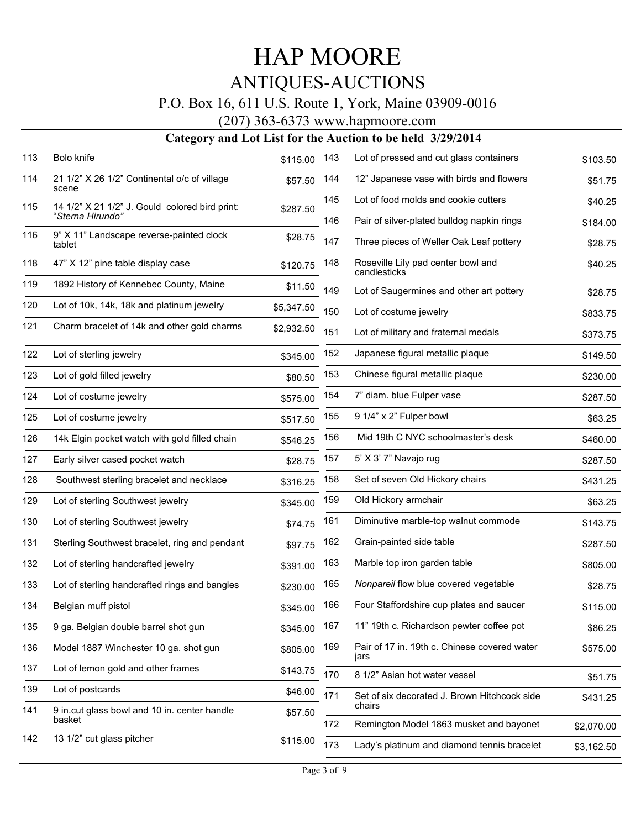#### P.O. Box 16, 611 U.S. Route 1, York, Maine 03909-0016

#### (207) 363-6373 www.hapmoore.com

| 113 | Bolo knife                                             | \$115.00   | 143 | Lot of pressed and cut glass containers              | \$103.50   |
|-----|--------------------------------------------------------|------------|-----|------------------------------------------------------|------------|
| 114 | 21 1/2" X 26 1/2" Continental o/c of village<br>scene  | \$57.50    | 144 | 12" Japanese vase with birds and flowers             | \$51.75    |
| 115 | 14 1/2" X 21 1/2" J. Gould colored bird print:         | \$287.50   | 145 | Lot of food molds and cookie cutters                 | \$40.25    |
|     | "Sterna Hirundo"                                       |            | 146 | Pair of silver-plated bulldog napkin rings           | \$184.00   |
| 116 | 9" X 11" Landscape reverse-painted clock<br>tablet     | \$28.75    | 147 | Three pieces of Weller Oak Leaf pottery              | \$28.75    |
| 118 | 47" X 12" pine table display case                      | \$120.75   | 148 | Roseville Lily pad center bowl and<br>candlesticks   | \$40.25    |
| 119 | 1892 History of Kennebec County, Maine                 | \$11.50    | 149 | Lot of Saugermines and other art pottery             | \$28.75    |
| 120 | Lot of 10k, 14k, 18k and platinum jewelry              | \$5,347.50 | 150 | Lot of costume jewelry                               | \$833.75   |
| 121 | Charm bracelet of 14k and other gold charms            | \$2,932.50 | 151 | Lot of military and fraternal medals                 | \$373.75   |
| 122 | Lot of sterling jewelry                                | \$345.00   | 152 | Japanese figural metallic plaque                     | \$149.50   |
| 123 | Lot of gold filled jewelry                             | \$80.50    | 153 | Chinese figural metallic plaque                      | \$230.00   |
| 124 | Lot of costume jewelry                                 | \$575.00   | 154 | 7" diam. blue Fulper vase                            | \$287.50   |
| 125 | Lot of costume jewelry                                 | \$517.50   | 155 | 9 1/4" x 2" Fulper bowl                              | \$63.25    |
| 126 | 14k Elgin pocket watch with gold filled chain          | \$546.25   | 156 | Mid 19th C NYC schoolmaster's desk                   | \$460.00   |
| 127 | Early silver cased pocket watch                        | \$28.75    | 157 | 5' X 3' 7" Navajo rug                                | \$287.50   |
| 128 | Southwest sterling bracelet and necklace               | \$316.25   | 158 | Set of seven Old Hickory chairs                      | \$431.25   |
| 129 | Lot of sterling Southwest jewelry                      | \$345.00   | 159 | Old Hickory armchair                                 | \$63.25    |
| 130 | Lot of sterling Southwest jewelry                      | \$74.75    | 161 | Diminutive marble-top walnut commode                 | \$143.75   |
| 131 | Sterling Southwest bracelet, ring and pendant          | \$97.75    | 162 | Grain-painted side table                             | \$287.50   |
| 132 | Lot of sterling handcrafted jewelry                    | \$391.00   | 163 | Marble top iron garden table                         | \$805.00   |
| 133 | Lot of sterling handcrafted rings and bangles          | \$230.00   | 165 | Nonpareil flow blue covered vegetable                | \$28.75    |
| 134 | Belgian muff pistol                                    | \$345.00   | 166 | Four Staffordshire cup plates and saucer             | \$115.00   |
| 135 | 9 ga. Belgian double barrel shot gun                   | \$345.00   | 167 | 11" 19th c. Richardson pewter coffee pot             | \$86.25    |
| 136 | Model 1887 Winchester 10 ga. shot gun                  | \$805.00   | 169 | Pair of 17 in. 19th c. Chinese covered water<br>jars | \$575.00   |
| 137 | Lot of lemon gold and other frames                     | \$143.75   | 170 | 8 1/2" Asian hot water vessel                        | \$51.75    |
| 139 | Lot of postcards                                       | \$46.00    | 171 | Set of six decorated J. Brown Hitchcock side         | \$431.25   |
| 141 | 9 in.cut glass bowl and 10 in. center handle<br>basket | \$57.50    |     | chairs                                               |            |
| 142 | 13 1/2" cut glass pitcher                              |            | 172 | Remington Model 1863 musket and bayonet              | \$2,070.00 |
|     |                                                        | \$115.00   | 173 | Lady's platinum and diamond tennis bracelet          | \$3,162.50 |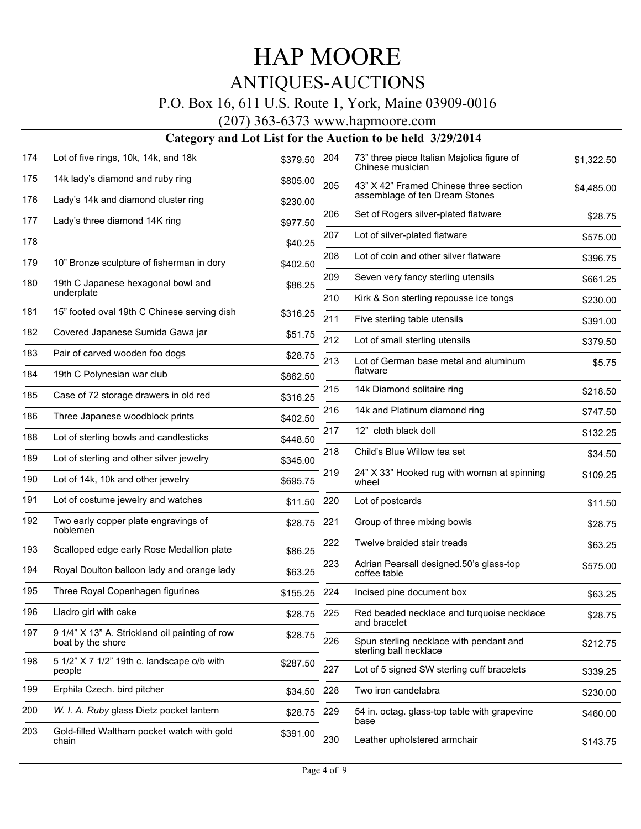#### P.O. Box 16, 611 U.S. Route 1, York, Maine 03909-0016

(207) 363-6373 www.hapmoore.com

| 174 | Lot of five rings, 10k, 14k, and 18k                                | \$379.50    | 204 | 73" three piece Italian Majolica figure of<br>Chinese musician    | \$1,322.50 |
|-----|---------------------------------------------------------------------|-------------|-----|-------------------------------------------------------------------|------------|
| 175 | 14k lady's diamond and ruby ring                                    | \$805.00    | 205 | 43" X 42" Framed Chinese three section                            | \$4,485.00 |
| 176 | Lady's 14k and diamond cluster ring                                 | \$230.00    |     | assemblage of ten Dream Stones                                    |            |
| 177 | Lady's three diamond 14K ring                                       | \$977.50    | 206 | Set of Rogers silver-plated flatware                              | \$28.75    |
| 178 |                                                                     | \$40.25     | 207 | Lot of silver-plated flatware                                     | \$575.00   |
| 179 | 10" Bronze sculpture of fisherman in dory                           | \$402.50    | 208 | Lot of coin and other silver flatware                             | \$396.75   |
| 180 | 19th C Japanese hexagonal bowl and                                  | \$86.25     | 209 | Seven very fancy sterling utensils                                | \$661.25   |
|     | underplate                                                          |             | 210 | Kirk & Son sterling repousse ice tongs                            | \$230.00   |
| 181 | 15" footed oval 19th C Chinese serving dish                         | \$316.25    | 211 | Five sterling table utensils                                      | \$391.00   |
| 182 | Covered Japanese Sumida Gawa jar                                    | \$51.75     | 212 | Lot of small sterling utensils                                    | \$379.50   |
| 183 | Pair of carved wooden foo dogs                                      | \$28.75     | 213 | Lot of German base metal and aluminum                             |            |
| 184 | 19th C Polynesian war club                                          | \$862.50    |     | flatware                                                          | \$5.75     |
| 185 | Case of 72 storage drawers in old red                               | \$316.25    | 215 | 14k Diamond solitaire ring                                        | \$218.50   |
| 186 | Three Japanese woodblock prints                                     | \$402.50    | 216 | 14k and Platinum diamond ring                                     | \$747.50   |
| 188 | Lot of sterling bowls and candlesticks                              | \$448.50    | 217 | 12" cloth black doll                                              | \$132.25   |
| 189 | Lot of sterling and other silver jewelry                            | \$345.00    | 218 | Child's Blue Willow tea set                                       | \$34.50    |
| 190 | Lot of 14k, 10k and other jewelry                                   | \$695.75    | 219 | 24" X 33" Hooked rug with woman at spinning<br>wheel              | \$109.25   |
| 191 | Lot of costume jewelry and watches                                  | \$11.50     | 220 | Lot of postcards                                                  | \$11.50    |
| 192 | Two early copper plate engravings of<br>noblemen                    | \$28.75     | 221 | Group of three mixing bowls                                       | \$28.75    |
| 193 | Scalloped edge early Rose Medallion plate                           | \$86.25     | 222 | Twelve braided stair treads                                       | \$63.25    |
| 194 | Royal Doulton balloon lady and orange lady                          | \$63.25     | 223 | Adrian Pearsall designed.50's glass-top<br>coffee table           | \$575.00   |
| 195 | Three Royal Copenhagen figurines                                    | \$155.25    | 224 | Incised pine document box                                         | \$63.25    |
| 196 | Lladro girl with cake                                               | \$28.75 225 |     | Red beaded necklace and turquoise necklace<br>and bracelet        | \$28.75    |
| 197 | 9 1/4" X 13" A. Strickland oil painting of row<br>boat by the shore | \$28.75     | 226 | Spun sterling necklace with pendant and<br>sterling ball necklace | \$212.75   |
| 198 | 5 1/2" X 7 1/2" 19th c. landscape o/b with<br>people                | \$287.50    | 227 | Lot of 5 signed SW sterling cuff bracelets                        | \$339.25   |
| 199 | Erphila Czech. bird pitcher                                         | \$34.50     | 228 | Two iron candelabra                                               | \$230.00   |
| 200 | W. I. A. Ruby glass Dietz pocket lantern                            | \$28.75     | 229 | 54 in. octag. glass-top table with grapevine<br>base              | \$460.00   |
| 203 | Gold-filled Waltham pocket watch with gold<br>chain                 | \$391.00    | 230 | Leather upholstered armchair                                      | \$143.75   |
|     |                                                                     |             |     |                                                                   |            |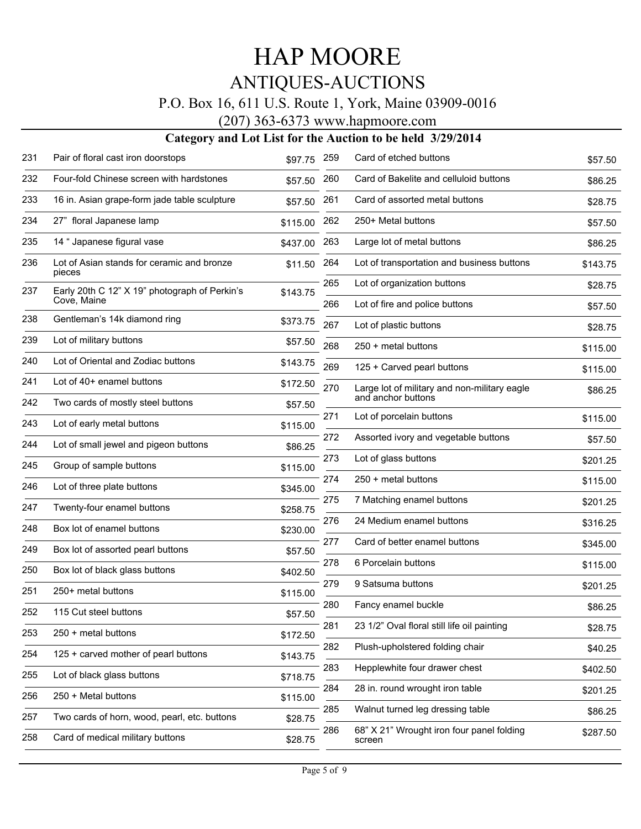#### P.O. Box 16, 611 U.S. Route 1, York, Maine 03909-0016

(207) 363-6373 www.hapmoore.com

| 231 | Pair of floral cast iron doorstops                           | \$97.75  | 259        | Card of etched buttons                                             | \$57.50  |
|-----|--------------------------------------------------------------|----------|------------|--------------------------------------------------------------------|----------|
| 232 | Four-fold Chinese screen with hardstones                     | \$57.50  | 260        | Card of Bakelite and celluloid buttons                             | \$86.25  |
| 233 | 16 in. Asian grape-form jade table sculpture                 | \$57.50  | 261        | Card of assorted metal buttons                                     | \$28.75  |
| 234 | 27" floral Japanese lamp                                     | \$115.00 | 262        | 250+ Metal buttons                                                 | \$57.50  |
| 235 | 14 " Japanese figural vase                                   | \$437.00 | 263        | Large lot of metal buttons                                         | \$86.25  |
| 236 | Lot of Asian stands for ceramic and bronze<br>pieces         | \$11.50  | 264        | Lot of transportation and business buttons                         | \$143.75 |
| 237 | Early 20th C 12" X 19" photograph of Perkin's<br>Cove, Maine | \$143.75 | 265<br>266 | Lot of organization buttons<br>Lot of fire and police buttons      | \$28.75  |
| 238 | Gentleman's 14k diamond ring                                 | \$373.75 |            |                                                                    | \$57.50  |
| 239 | Lot of military buttons                                      | \$57.50  | 267        | Lot of plastic buttons                                             | \$28.75  |
| 240 | Lot of Oriental and Zodiac buttons                           |          | 268        | 250 + metal buttons                                                | \$115.00 |
|     |                                                              | \$143.75 | 269        | 125 + Carved pearl buttons                                         | \$115.00 |
| 241 | Lot of 40+ enamel buttons                                    | \$172.50 | 270        | Large lot of military and non-military eagle<br>and anchor buttons | \$86.25  |
| 242 | Two cards of mostly steel buttons                            | \$57.50  |            |                                                                    |          |
| 243 | Lot of early metal buttons                                   | \$115.00 | 271        | Lot of porcelain buttons                                           | \$115.00 |
| 244 | Lot of small jewel and pigeon buttons                        | \$86.25  | 272        | Assorted ivory and vegetable buttons                               | \$57.50  |
| 245 | Group of sample buttons                                      | \$115.00 | 273        | Lot of glass buttons                                               | \$201.25 |
| 246 | Lot of three plate buttons                                   | \$345.00 | 274        | 250 + metal buttons                                                | \$115.00 |
| 247 | Twenty-four enamel buttons                                   | \$258.75 | 275        | 7 Matching enamel buttons                                          | \$201.25 |
|     |                                                              |          | 276        | 24 Medium enamel buttons                                           | \$316.25 |
| 248 | Box lot of enamel buttons                                    | \$230.00 | 277        | Card of better enamel buttons                                      | \$345.00 |
| 249 | Box lot of assorted pearl buttons                            | \$57.50  | 278        | 6 Porcelain buttons                                                |          |
| 250 | Box lot of black glass buttons                               | \$402.50 |            |                                                                    | \$115.00 |
| 251 | 250+ metal buttons                                           | \$115.00 | 279        | 9 Satsuma buttons                                                  | \$201.25 |
| 252 | 115 Cut steel buttons                                        | \$57.50  | 280        | Fancy enamel buckle                                                | \$86.25  |
| 253 | 250 + metal buttons                                          | \$172.50 | 281        | 23 1/2" Oval floral still life oil painting                        | \$28.75  |
| 254 | 125 + carved mother of pearl buttons                         | \$143.75 | 282        | Plush-upholstered folding chair                                    | \$40.25  |
| 255 | Lot of black glass buttons                                   | \$718.75 | 283        | Hepplewhite four drawer chest                                      | \$402.50 |
| 256 | 250 + Metal buttons                                          | \$115.00 | 284        | 28 in. round wrought iron table                                    | \$201.25 |
| 257 | Two cards of horn, wood, pearl, etc. buttons                 | \$28.75  | 285        | Walnut turned leg dressing table                                   | \$86.25  |
| 258 | Card of medical military buttons                             | \$28.75  | 286        | 68" X 21" Wrought iron four panel folding<br>screen                | \$287.50 |
|     |                                                              |          |            |                                                                    |          |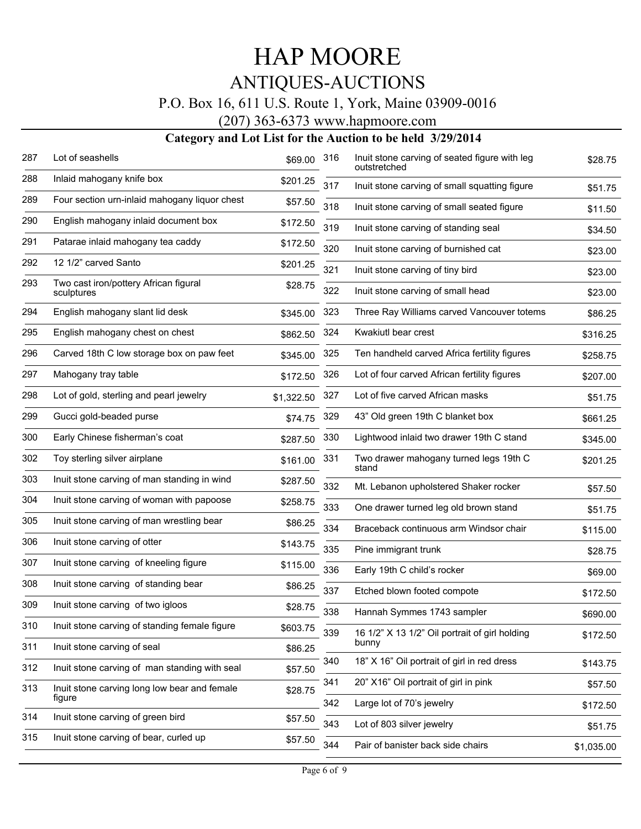#### P.O. Box 16, 611 U.S. Route 1, York, Maine 03909-0016

(207) 363-6373 www.hapmoore.com

| 287 | Lot of seashells                                    | \$69.00    | 316 | Inuit stone carving of seated figure with leg<br>outstretched | \$28.75    |
|-----|-----------------------------------------------------|------------|-----|---------------------------------------------------------------|------------|
| 288 | Inlaid mahogany knife box                           | \$201.25   | 317 | Inuit stone carving of small squatting figure                 | \$51.75    |
| 289 | Four section urn-inlaid mahogany liquor chest       | \$57.50    | 318 | Inuit stone carving of small seated figure                    | \$11.50    |
| 290 | English mahogany inlaid document box                | \$172.50   | 319 | Inuit stone carving of standing seal                          | \$34.50    |
| 291 | Patarae inlaid mahogany tea caddy                   | \$172.50   | 320 | Inuit stone carving of burnished cat                          | \$23.00    |
| 292 | 12 1/2" carved Santo                                | \$201.25   | 321 | Inuit stone carving of tiny bird                              | \$23.00    |
| 293 | Two cast iron/pottery African figural<br>sculptures | \$28.75    | 322 | Inuit stone carving of small head                             | \$23.00    |
| 294 | English mahogany slant lid desk                     | \$345.00   | 323 | Three Ray Williams carved Vancouver totems                    | \$86.25    |
| 295 | English mahogany chest on chest                     | \$862.50   | 324 | Kwakiutl bear crest                                           | \$316.25   |
| 296 | Carved 18th C low storage box on paw feet           | \$345.00   | 325 | Ten handheld carved Africa fertility figures                  | \$258.75   |
| 297 | Mahogany tray table                                 | \$172.50   | 326 | Lot of four carved African fertility figures                  | \$207.00   |
| 298 | Lot of gold, sterling and pearl jewelry             | \$1,322.50 | 327 | Lot of five carved African masks                              | \$51.75    |
| 299 | Gucci gold-beaded purse                             | \$74.75    | 329 | 43" Old green 19th C blanket box                              | \$661.25   |
| 300 | Early Chinese fisherman's coat                      | \$287.50   | 330 | Lightwood inlaid two drawer 19th C stand                      | \$345.00   |
| 302 | Toy sterling silver airplane                        | \$161.00   | 331 | Two drawer mahogany turned legs 19th C<br>stand               | \$201.25   |
| 303 | Inuit stone carving of man standing in wind         | \$287.50   | 332 | Mt. Lebanon upholstered Shaker rocker                         | \$57.50    |
| 304 | Inuit stone carving of woman with papoose           | \$258.75   | 333 | One drawer turned leg old brown stand                         | \$51.75    |
| 305 | Inuit stone carving of man wrestling bear           | \$86.25    | 334 | Braceback continuous arm Windsor chair                        | \$115.00   |
| 306 | Inuit stone carving of otter                        | \$143.75   | 335 | Pine immigrant trunk                                          | \$28.75    |
| 307 | Inuit stone carving of kneeling figure              | \$115.00   | 336 | Early 19th C child's rocker                                   | \$69.00    |
| 308 | Inuit stone carving of standing bear                | \$86.25    | 337 | Etched blown footed compote                                   | \$172.50   |
| 309 | Inuit stone carving of two igloos                   | \$28.75    | 338 | Hannah Symmes 1743 sampler                                    | \$690.00   |
| 310 | Inuit stone carving of standing female figure       | \$603.75   | 339 | 16 1/2" X 13 1/2" Oil portrait of girl holding                | \$172.50   |
| 311 | Inuit stone carving of seal                         | \$86.25    |     | bunny                                                         |            |
| 312 | Inuit stone carving of man standing with seal       | \$57.50    | 340 | 18" X 16" Oil portrait of girl in red dress                   | \$143.75   |
| 313 | Inuit stone carving long low bear and female        | \$28.75    | 341 | 20" X16" Oil portrait of girl in pink                         | \$57.50    |
| 314 | figure<br>Inuit stone carving of green bird         |            | 342 | Large lot of 70's jewelry                                     | \$172.50   |
|     |                                                     | \$57.50    | 343 | Lot of 803 silver jewelry                                     | \$51.75    |
| 315 | Inuit stone carving of bear, curled up              | \$57.50    | 344 | Pair of banister back side chairs                             | \$1,035.00 |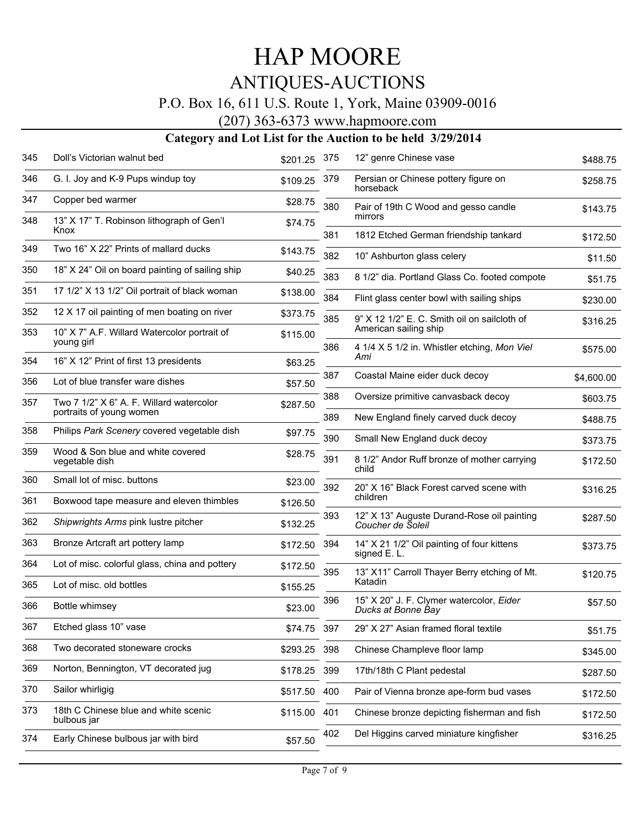#### P.O. Box 16, 611 U.S. Route 1, York, Maine 03909-0016

(207) 363-6373 www.hapmoore.com

| 345 | Doll's Victorian walnut bed                                | \$201.25     | 375 | 12" genre Chinese vase                                          | \$488.75   |
|-----|------------------------------------------------------------|--------------|-----|-----------------------------------------------------------------|------------|
| 346 | G. I. Joy and K-9 Pups windup toy                          | \$109.25     | 379 | Persian or Chinese pottery figure on<br>horseback               | \$258.75   |
| 347 | Copper bed warmer                                          | \$28.75      | 380 | Pair of 19th C Wood and gesso candle<br>mirrors                 | \$143.75   |
| 348 | 13" X 17" T. Robinson lithograph of Gen'l<br>Knox          | \$74.75      | 381 | 1812 Etched German friendship tankard                           | \$172.50   |
| 349 | Two 16" X 22" Prints of mallard ducks                      | \$143.75     | 382 | 10" Ashburton glass celery                                      | \$11.50    |
| 350 | 18" X 24" Oil on board painting of sailing ship            | \$40.25      | 383 | 8 1/2" dia. Portland Glass Co. footed compote                   | \$51.75    |
| 351 | 17 1/2" X 13 1/2" Oil portrait of black woman              | \$138.00     | 384 | Flint glass center bowl with sailing ships                      | \$230.00   |
| 352 | 12 X 17 oil painting of men boating on river               | \$373.75     | 385 | 9" X 12 1/2" E. C. Smith oil on sailcloth of                    | \$316.25   |
| 353 | 10" X 7" A.F. Willard Watercolor portrait of<br>young girl | \$115.00     |     | American sailing ship                                           |            |
| 354 | 16" X 12" Print of first 13 presidents                     | \$63.25      | 386 | 4 1/4 X 5 1/2 in. Whistler etching, Mon Viel<br>Ami             | \$575.00   |
| 356 | Lot of blue transfer ware dishes                           | \$57.50      | 387 | Coastal Maine eider duck decoy                                  | \$4,600.00 |
| 357 | Two 7 1/2" X 6" A. F. Willard watercolor                   | \$287.50     | 388 | Oversize primitive canvasback decoy                             | \$603.75   |
|     | portraits of young women                                   |              | 389 | New England finely carved duck decoy                            | \$488.75   |
| 358 | Philips Park Scenery covered vegetable dish                | \$97.75      | 390 | Small New England duck decoy                                    | \$373.75   |
| 359 | Wood & Son blue and white covered<br>vegetable dish        | \$28.75      | 391 | 8 1/2" Andor Ruff bronze of mother carrying<br>child            | \$172.50   |
| 360 | Small lot of misc. buttons                                 | \$23.00      | 392 | 20" X 16" Black Forest carved scene with                        | \$316.25   |
| 361 | Boxwood tape measure and eleven thimbles                   | \$126.50     |     | children                                                        |            |
| 362 | Shipwrights Arms pink lustre pitcher                       | \$132.25     | 393 | 12" X 13" Auguste Durand-Rose oil painting<br>Coucher de Soleil | \$287.50   |
| 363 | Bronze Artcraft art pottery lamp                           | \$172.50     | 394 | 14" X 21 1/2" Oil painting of four kittens<br>signed E.L.       | \$373.75   |
| 364 | Lot of misc. colorful glass, china and pottery             | \$172.50     | 395 | 13" X11" Carroll Thayer Berry etching of Mt.                    | \$120.75   |
| 365 | Lot of misc. old bottles                                   | \$155.25     |     | Katadin                                                         |            |
| 366 | Bottle whimsey                                             | \$23.00      | 396 | 15" X 20" J. F. Clymer watercolor, Eider<br>Ducks at Bonne Bay  | \$57.50    |
| 367 | Etched glass 10" vase                                      | \$74.75 397  |     | 29" X 27" Asian framed floral textile                           | \$51.75    |
| 368 | Two decorated stoneware crocks                             | \$293.25     | 398 | Chinese Champleve floor lamp                                    | \$345.00   |
| 369 | Norton, Bennington, VT decorated jug                       | \$178.25     | 399 | 17th/18th C Plant pedestal                                      | \$287.50   |
| 370 | Sailor whirligig                                           | \$517.50 400 |     | Pair of Vienna bronze ape-form bud vases                        | \$172.50   |
| 373 | 18th C Chinese blue and white scenic<br>bulbous jar        | \$115.00     | 401 | Chinese bronze depicting fisherman and fish                     | \$172.50   |
| 374 | Early Chinese bulbous jar with bird                        | \$57.50      | 402 | Del Higgins carved miniature kingfisher                         | \$316.25   |
|     |                                                            |              |     |                                                                 |            |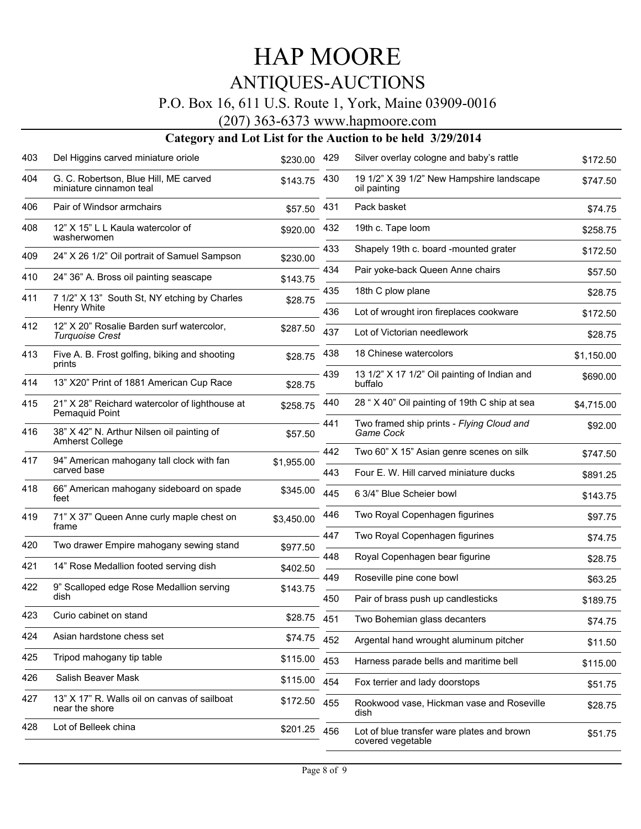#### P.O. Box 16, 611 U.S. Route 1, York, Maine 03909-0016

(207) 363-6373 www.hapmoore.com

| 403 | Del Higgins carved miniature oriole                                  | \$230.00     | 429 | Silver overlay cologne and baby's rattle                        | \$172.50   |
|-----|----------------------------------------------------------------------|--------------|-----|-----------------------------------------------------------------|------------|
| 404 | G. C. Robertson, Blue Hill, ME carved<br>miniature cinnamon teal     | \$143.75     | 430 | 19 1/2" X 39 1/2" New Hampshire landscape<br>oil painting       | \$747.50   |
| 406 | Pair of Windsor armchairs                                            | \$57.50      | 431 | Pack basket                                                     | \$74.75    |
| 408 | 12" X 15" L L Kaula watercolor of<br>washerwomen                     | \$920.00     | 432 | 19th c. Tape loom                                               | \$258.75   |
| 409 | 24" X 26 1/2" Oil portrait of Samuel Sampson                         | \$230.00     | 433 | Shapely 19th c. board -mounted grater                           | \$172.50   |
| 410 | 24" 36" A. Bross oil painting seascape                               | \$143.75     | 434 | Pair yoke-back Queen Anne chairs                                | \$57.50    |
| 411 | 7 1/2" X 13" South St, NY etching by Charles                         | \$28.75      | 435 | 18th C plow plane                                               | \$28.75    |
|     | Henry White                                                          |              | 436 | Lot of wrought iron fireplaces cookware                         | \$172.50   |
| 412 | 12" X 20" Rosalie Barden surf watercolor,<br><b>Turquoise Crest</b>  | \$287.50     | 437 | Lot of Victorian needlework                                     | \$28.75    |
| 413 | Five A. B. Frost golfing, biking and shooting<br>prints              | \$28.75      | 438 | 18 Chinese watercolors                                          | \$1,150.00 |
| 414 | 13" X20" Print of 1881 American Cup Race                             | \$28.75      | 439 | 13 1/2" X 17 1/2" Oil painting of Indian and<br>buffalo         | \$690.00   |
| 415 | 21" X 28" Reichard watercolor of lighthouse at<br>Pemaquid Point     | \$258.75     | 440 | 28 " X 40" Oil painting of 19th C ship at sea                   | \$4,715.00 |
| 416 | 38" X 42" N. Arthur Nilsen oil painting of<br><b>Amherst College</b> | \$57.50      | 441 | Two framed ship prints - Flying Cloud and<br>Game Cock          | \$92.00    |
| 417 | 94" American mahogany tall clock with fan                            | \$1,955.00   | 442 | Two 60" X 15" Asian genre scenes on silk                        | \$747.50   |
|     | carved base                                                          |              | 443 | Four E. W. Hill carved miniature ducks                          | \$891.25   |
| 418 | 66" American mahogany sideboard on spade<br>feet                     | \$345.00     | 445 | 6 3/4" Blue Scheier bowl                                        | \$143.75   |
| 419 | 71" X 37" Queen Anne curly maple chest on<br>frame                   | \$3,450.00   | 446 | Two Royal Copenhagen figurines                                  | \$97.75    |
| 420 | Two drawer Empire mahogany sewing stand                              | \$977.50     | 447 | Two Royal Copenhagen figurines                                  | \$74.75    |
| 421 | 14" Rose Medallion footed serving dish                               | \$402.50     | 448 | Royal Copenhagen bear figurine                                  | \$28.75    |
| 422 | 9" Scalloped edge Rose Medallion serving                             | \$143.75     | 449 | Roseville pine cone bowl                                        | \$63.25    |
|     | dish                                                                 |              | 450 | Pair of brass push up candlesticks                              | \$189.75   |
| 423 | Curio cabinet on stand                                               | \$28.75      | 451 | Two Bohemian glass decanters                                    | \$74.75    |
| 424 | Asian hardstone chess set                                            | \$74.75 452  |     | Argental hand wrought aluminum pitcher                          | \$11.50    |
| 425 | Tripod mahogany tip table                                            | \$115.00     | 453 | Harness parade bells and maritime bell                          | \$115.00   |
| 426 | Salish Beaver Mask                                                   | \$115.00     | 454 | Fox terrier and lady doorstops                                  | \$51.75    |
| 427 | 13" X 17" R. Walls oil on canvas of sailboat<br>near the shore       | \$172.50 455 |     | Rookwood vase, Hickman vase and Roseville<br>dish               | \$28.75    |
| 428 | Lot of Belleek china                                                 | \$201.25 456 |     | Lot of blue transfer ware plates and brown<br>covered vegetable | \$51.75    |
|     |                                                                      |              |     |                                                                 |            |